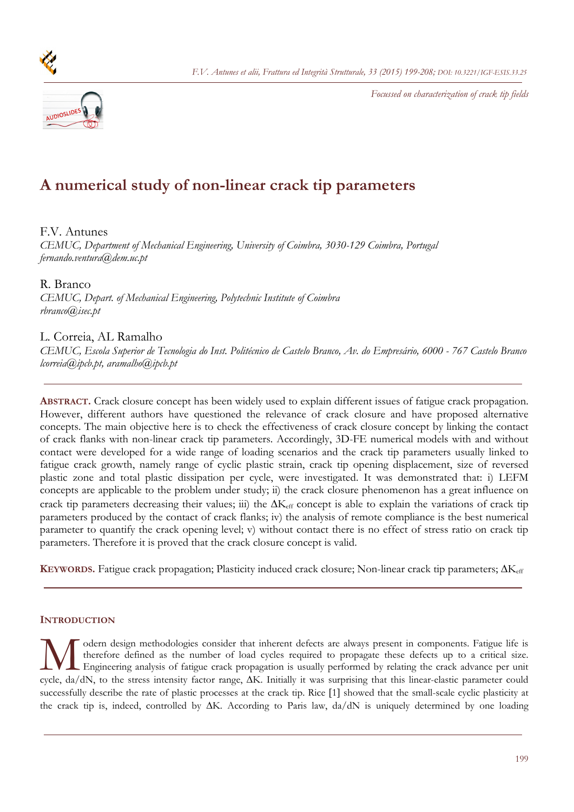



# **A numerical study of non-linear crack tip parameters**

# F.V. Antunes

*CEMUC, Department of Mechanical Engineering, University of Coimbra, 3030-129 Coimbra, Portugal fernando.ventura@dem.uc.pt* 

R. Branco

*CEMUC, Depart. of Mechanical Engineering, Polytechnic Institute of Coimbra rbranco@isec.pt* 

# L. Correia, AL Ramalho

*CEMUC, Escola Superior de Tecnologia do Inst. Politécnico de Castelo Branco, Av. do Empresário, 6000 - 767 Castelo Branco lcorreia@ipcb.pt, aramalho@ipcb.pt* 

**ABSTRACT.** Crack closure concept has been widely used to explain different issues of fatigue crack propagation. However, different authors have questioned the relevance of crack closure and have proposed alternative concepts. The main objective here is to check the effectiveness of crack closure concept by linking the contact of crack flanks with non-linear crack tip parameters. Accordingly, 3D-FE numerical models with and without contact were developed for a wide range of loading scenarios and the crack tip parameters usually linked to fatigue crack growth, namely range of cyclic plastic strain, crack tip opening displacement, size of reversed plastic zone and total plastic dissipation per cycle, were investigated. It was demonstrated that: i) LEFM concepts are applicable to the problem under study; ii) the crack closure phenomenon has a great influence on crack tip parameters decreasing their values; iii) the  $\Delta K_{\text{eff}}$  concept is able to explain the variations of crack tip parameters produced by the contact of crack flanks; iv) the analysis of remote compliance is the best numerical parameter to quantify the crack opening level; v) without contact there is no effect of stress ratio on crack tip parameters. Therefore it is proved that the crack closure concept is valid.

**KEYWORDS.** Fatigue crack propagation; Plasticity induced crack closure; Non-linear crack tip parameters;  $\Delta K_{\text{eff}}$ 

## **INTRODUCTION**

odern design methodologies consider that inherent defects are always present in components. Fatigue life is therefore defined as the number of load cycles required to propagate these defects up to a critical size. Engineering analysis of fatigue crack propagation is usually performed by relating the crack advance per unit Cycle, da/dN, to the stress intensity factor range, AK. Initially it was surprising that this linear-elastic parameter could explicitly factor range, AK. Initially it was surprising that this linear-elastic parameter could successfully describe the rate of plastic processes at the crack tip. Rice [1] showed that the small-scale cyclic plasticity at the crack tip is, indeed, controlled by  $\Delta K$ . According to Paris law, da/dN is uniquely determined by one loading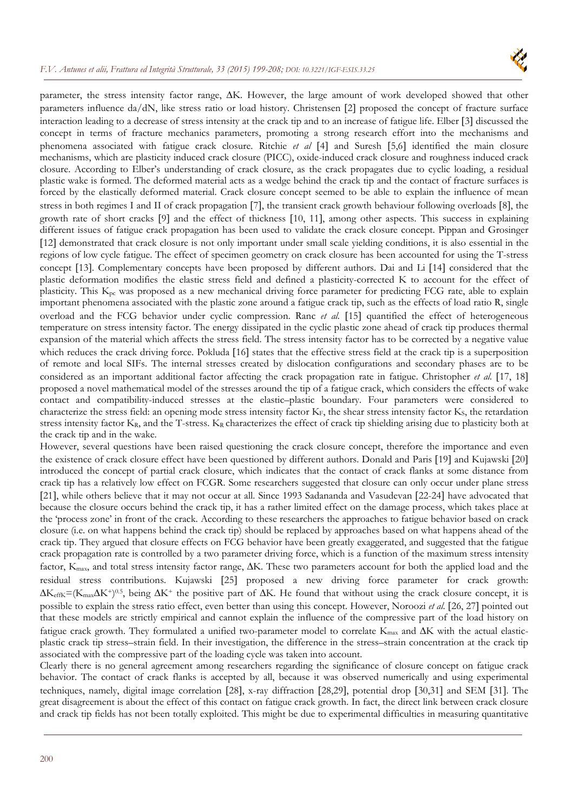

parameter, the stress intensity factor range,  $\Delta K$ . However, the large amount of work developed showed that other parameters influence  $da/dN$ , like stress ratio or load history. Christensen [2] proposed the concept of fracture surface interaction leading to a decrease of stress intensity at the crack tip and to an increase of fatigue life. Elber [3] discussed the concept in terms of fracture mechanics parameters, promoting a strong research effort into the mechanisms and phenomena associated with fatigue crack closure. Ritchie et al [4] and Suresh [5,6] identified the main closure mechanisms, which are plasticity induced crack closure (PICC), oxide-induced crack closure and roughness induced crack closure. According to Elber's understanding of crack closure, as the crack propagates due to cyclic loading, a residual plastic wake is formed. The deformed material acts as a wedge behind the crack tip and the contact of fracture surfaces is forced by the elastically deformed material. Crack closure concept seemed to be able to explain the influence of mean stress in both regimes I and II of crack propagation [7], the transient crack growth behaviour following overloads [8], the growth rate of short cracks [9] and the effect of thickness [10, 11], among other aspects. This success in explaining different issues of fatigue crack propagation has been used to validate the crack closure concept. Pippan and Grosinger 12 demonstrated that crack closure is not only important under small scale yielding conditions, it is also essential in the regions of low cycle fatigue. The effect of specimen geometry on crack closure has been accounted for using the T-stress concept [13]. Complementary concepts have been proposed by different authors. Dai and Li [14] considered that the plastic deformation modifies the elastic stress field and defined a plasticity-corrected K to account for the effect of plasticity. This Kpc was proposed as a new mechanical driving force parameter for predicting FCG rate, able to explain important phenomena associated with the plastic zone around a fatigue crack tip, such as the effects of load ratio R, single overload and the FCG behavior under cyclic compression. Ranc *et al.* [15] quantified the effect of heterogeneous temperature on stress intensity factor. The energy dissipated in the cyclic plastic zone ahead of crack tip produces thermal expansion of the material which affects the stress field. The stress intensity factor has to be corrected by a negative value which reduces the crack driving force. Pokluda [16] states that the effective stress field at the crack tip is a superposition of remote and local SIFs. The internal stresses created by dislocation configurations and secondary phases are to be considered as an important additional factor affecting the crack propagation rate in fatigue. Christopher *et al.* 17, 18 proposed a novel mathematical model of the stresses around the tip of a fatigue crack, which considers the effects of wake contact and compatibility-induced stresses at the elastic–plastic boundary. Four parameters were considered to characterize the stress field: an opening mode stress intensity factor KF, the shear stress intensity factor Ks, the retardation stress intensity factor  $K_R$ , and the T-stress.  $K_R$  characterizes the effect of crack tip shielding arising due to plasticity both at the crack tip and in the wake.

However, several questions have been raised questioning the crack closure concept, therefore the importance and even the existence of crack closure effect have been questioned by different authors. Donald and Paris [19] and Kujawski [20] introduced the concept of partial crack closure, which indicates that the contact of crack flanks at some distance from crack tip has a relatively low effect on FCGR. Some researchers suggested that closure can only occur under plane stress [21], while others believe that it may not occur at all. Since 1993 Sadananda and Vasudevan [22-24] have advocated that because the closure occurs behind the crack tip, it has a rather limited effect on the damage process, which takes place at the 'process zone' in front of the crack. According to these researchers the approaches to fatigue behavior based on crack closure (i.e. on what happens behind the crack tip) should be replaced by approaches based on what happens ahead of the crack tip. They argued that closure effects on FCG behavior have been greatly exaggerated, and suggested that the fatigue crack propagation rate is controlled by a two parameter driving force, which is a function of the maximum stress intensity factor,  $K_{\text{max}}$ , and total stress intensity factor range,  $\Delta K$ . These two parameters account for both the applied load and the residual stress contributions. Kujawski [25] proposed a new driving force parameter for crack growth:  $\Delta K_{\text{effK}} = (K_{\text{max}}\Delta K^+)^{0.5}$ , being  $\Delta K^+$  the positive part of  $\Delta K$ . He found that without using the crack closure concept, it is possible to explain the stress ratio effect, even better than using this concept. However, Noroozi *et al.* 26, 27 pointed out that these models are strictly empirical and cannot explain the influence of the compressive part of the load history on fatigue crack growth. They formulated a unified two-parameter model to correlate  $K_{\text{max}}$  and  $\Delta K$  with the actual elasticplastic crack tip stress–strain field. In their investigation, the difference in the stress–strain concentration at the crack tip associated with the compressive part of the loading cycle was taken into account.

Clearly there is no general agreement among researchers regarding the significance of closure concept on fatigue crack behavior. The contact of crack flanks is accepted by all, because it was observed numerically and using experimental techniques, namely, digital image correlation [28], x-ray diffraction [28,29], potential drop [30,31] and SEM [31]. The great disagreement is about the effect of this contact on fatigue crack growth. In fact, the direct link between crack closure and crack tip fields has not been totally exploited. This might be due to experimental difficulties in measuring quantitative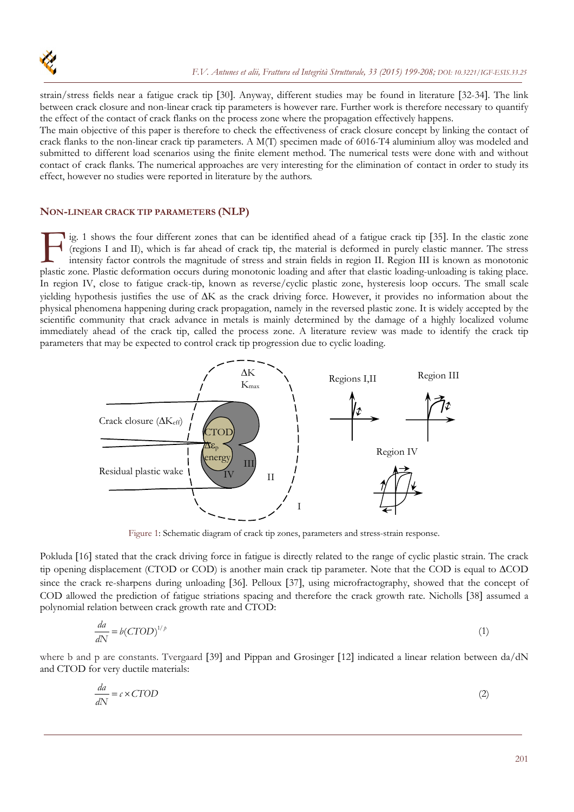

strain/stress fields near a fatigue crack tip [30]. Anyway, different studies may be found in literature [32-34]. The link between crack closure and non-linear crack tip parameters is however rare. Further work is therefore necessary to quantify the effect of the contact of crack flanks on the process zone where the propagation effectively happens.

The main objective of this paper is therefore to check the effectiveness of crack closure concept by linking the contact of crack flanks to the non-linear crack tip parameters. A M(T) specimen made of 6016-T4 aluminium alloy was modeled and submitted to different load scenarios using the finite element method. The numerical tests were done with and without contact of crack flanks. The numerical approaches are very interesting for the elimination of contact in order to study its effect, however no studies were reported in literature by the authors.

## **NON-LINEAR CRACK TIP PARAMETERS (NLP)**

lig. 1 shows the four different zones that can be identified ahead of a fatigue crack tip [35]. In the elastic zone (regions I and II), which is far ahead of crack tip, the material is deformed in purely elastic manner. The stress intensity factor controls the magnitude of stress and strain fields in region II. Region III is known as monotonic Ig. 1 shows the four different zones that can be identified ahead of a fatigue crack tip [35]. In the elastic zone.<br>
(regions I and II), which is far ahead of crack tip, the material is deformed in purely elastic manner. T In region IV, close to fatigue crack-tip, known as reverse/cyclic plastic zone, hysteresis loop occurs. The small scale yielding hypothesis justifies the use of  $\Delta K$  as the crack driving force. However, it provides no information about the physical phenomena happening during crack propagation, namely in the reversed plastic zone. It is widely accepted by the scientific community that crack advance in metals is mainly determined by the damage of a highly localized volume immediately ahead of the crack tip, called the process zone. A literature review was made to identify the crack tip parameters that may be expected to control crack tip progression due to cyclic loading.



Figure 1: Schematic diagram of crack tip zones, parameters and stress-strain response.

Pokluda [16] stated that the crack driving force in fatigue is directly related to the range of cyclic plastic strain. The crack tip opening displacement (CTOD or COD) is another main crack tip parameter. Note that the COD is equal to  $\triangle COD$ since the crack re-sharpens during unloading [36]. Pelloux [37], using microfractography, showed that the concept of COD allowed the prediction of fatigue striations spacing and therefore the crack growth rate. Nicholls [38] assumed a polynomial relation between crack growth rate and CTOD:

$$
\frac{da}{dN} = b(CTOD)^{1/p} \tag{1}
$$

where b and p are constants. Tvergaard [39] and Pippan and Grosinger [12] indicated a linear relation between da/dN and CTOD for very ductile materials:

$$
\frac{da}{dN} = c \times C \text{TOP} \tag{2}
$$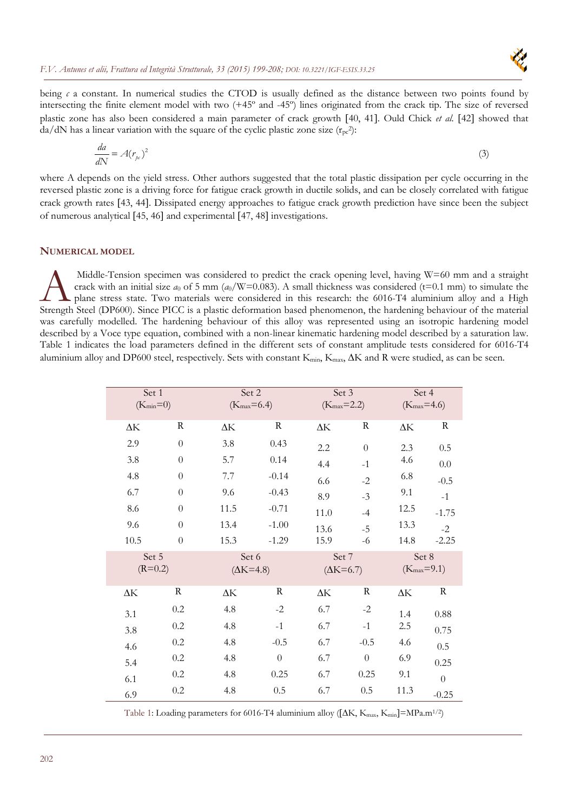

being  $c \neq c$  a constant. In numerical studies the CTOD is usually defined as the distance between two points found by intersecting the finite element model with two (+45º and -45º) lines originated from the crack tip. The size of reversed plastic zone has also been considered a main parameter of crack growth [40, 41]. Ould Chick *et al.* [42] showed that  $da/dN$  has a linear variation with the square of the cyclic plastic zone size  $(r_{pc}^2)$ :

$$
\frac{da}{dN} = A(r_{pc})^2
$$
 (3)

where A depends on the yield stress. Other authors suggested that the total plastic dissipation per cycle occurring in the reversed plastic zone is a driving force for fatigue crack growth in ductile solids, and can be closely correlated with fatigue crack growth rates [43, 44]. Dissipated energy approaches to fatigue crack growth prediction have since been the subject of numerous analytical [45, 46] and experimental [47, 48] investigations.

#### **NUMERICAL MODEL**

 Middle-Tension specimen was considered to predict the crack opening level, having W=60 mm and a straight crack with an initial size  $a_0$  of 5 mm ( $a_0/W=0.083$ ). A small thickness was considered (t=0.1 mm) to simulate the plane stress state. Two materials were considered in this research: the 6016-T4 aluminium alloy and a High Middle-Tension specimen was considered to predict the crack opening level, having W=60 mm and a straight crack with an initial size  $a_0$  of 5 mm  $(a_0/W=0.083)$ . A small thickness was considered (t=0.1 mm) to simulate the was carefully modelled. The hardening behaviour of this alloy was represented using an isotropic hardening model described by a Voce type equation, combined with a non-linear kinematic hardening model described by a saturation law. Table 1 indicates the load parameters defined in the different sets of constant amplitude tests considered for 6016-T4 aluminium alloy and DP600 steel, respectively. Sets with constant  $K_{min}$ ,  $K_{max}$ ,  $\Delta K$  and R were studied, as can be seen.

| Set 1<br>$(K_{min}=0)$ |                | Set 2<br>$(K_{max}=6.4)$  |              | Set 3<br>$(K_{max}=2.2)$    |          | Set 4<br>$(K_{max}=4.6)$ |                  |
|------------------------|----------------|---------------------------|--------------|-----------------------------|----------|--------------------------|------------------|
| $\Delta {\rm K}$       | R              | $\Delta {\rm K}$          | R            | $\Delta {\rm K}$            | R        | $\Delta {\rm K}$         | $\rm R$          |
| 2.9                    | $\theta$       | 3.8                       | 0.43         | 2.2                         | $\theta$ | 2.3                      | 0.5              |
| 3.8                    | $\overline{0}$ | 5.7                       | 0.14         | 4.4                         | $-1$     | 4.6                      | $0.0\,$          |
| 4.8                    | $\theta$       | 7.7                       | $-0.14$      | 6.6                         | $-2$     | 6.8                      | $-0.5$           |
| 6.7                    | $\theta$       | 9.6                       | $-0.43$      | 8.9                         | $-3$     | 9.1                      | $-1$             |
| 8.6                    | $\theta$       | 11.5                      | $-0.71$      | 11.0                        | $-4$     | 12.5                     | $-1.75$          |
| 9.6                    | $\theta$       | 13.4                      | $-1.00$      | 13.6                        | $-5$     | 13.3                     | $-2$             |
| 10.5                   | $\theta$       | 15.3                      | $-1.29$      | 15.9                        | -6       | 14.8                     | $-2.25$          |
| Set 5<br>$(R=0.2)$     |                | Set 6<br>$(\Delta K=4.8)$ |              | Set 7<br>$(\Delta K = 6.7)$ |          | Set 8<br>$(K_{max}=9.1)$ |                  |
| $\Delta {\rm K}$       | $\mathbf R$    | $\Delta {\rm K}$          | $\mathbb{R}$ | $\Delta K$                  | $\rm R$  | $\Delta {\rm K}$         | ${\bf R}$        |
| 3.1                    | $0.2\,$        | 4.8                       | $-2$         | 6.7                         | $-2$     | 1.4                      | 0.88             |
| 3.8                    | 0.2            | 4.8                       | $-1$         | 6.7                         | $-1$     | 2.5                      | 0.75             |
| 4.6                    | 0.2            | 4.8                       | $-0.5$       | 6.7                         | $-0.5$   | 4.6                      | 0.5              |
| 5.4                    | $0.2\,$        | 4.8                       | $\theta$     | 6.7                         | $\theta$ | 6.9                      | 0.25             |
| 6.1                    | 0.2            | 4.8                       | 0.25         | 6.7                         | 0.25     | 9.1                      | $\boldsymbol{0}$ |
| 6.9                    | $0.2\,$        | 4.8                       | 0.5          | 6.7                         | 0.5      | 11.3                     | $-0.25$          |

Table 1: Loading parameters for 6016-T4 aluminium alloy ( $\Delta K$ ,  $K_{\text{max}}$ ,  $K_{\text{min}}$ )=MPa.m<sup>1/2</sup>)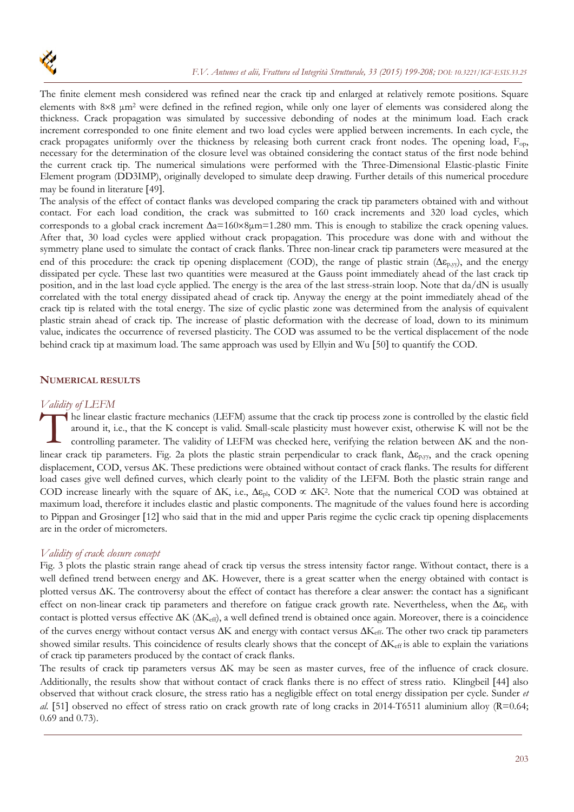

The finite element mesh considered was refined near the crack tip and enlarged at relatively remote positions. Square elements with 8×8 μm<sup>2</sup> were defined in the refined region, while only one layer of elements was considered along the thickness. Crack propagation was simulated by successive debonding of nodes at the minimum load. Each crack increment corresponded to one finite element and two load cycles were applied between increments. In each cycle, the crack propagates uniformly over the thickness by releasing both current crack front nodes. The opening load, F<sub>op</sub>, necessary for the determination of the closure level was obtained considering the contact status of the first node behind the current crack tip. The numerical simulations were performed with the Three-Dimensional Elastic-plastic Finite Element program (DD3IMP), originally developed to simulate deep drawing. Further details of this numerical procedure may be found in literature [49].

The analysis of the effect of contact flanks was developed comparing the crack tip parameters obtained with and without contact. For each load condition, the crack was submitted to 160 crack increments and 320 load cycles, which corresponds to a global crack increment  $\Delta a=160\times8\mu$ m=1.280 mm. This is enough to stabilize the crack opening values. After that, 30 load cycles were applied without crack propagation. This procedure was done with and without the symmetry plane used to simulate the contact of crack flanks. Three non-linear crack tip parameters were measured at the end of this procedure: the crack tip opening displacement (COD), the range of plastic strain ( $\Delta \varepsilon_{p,vy}$ ), and the energy dissipated per cycle. These last two quantities were measured at the Gauss point immediately ahead of the last crack tip position, and in the last load cycle applied. The energy is the area of the last stress-strain loop. Note that da/dN is usually correlated with the total energy dissipated ahead of crack tip. Anyway the energy at the point immediately ahead of the crack tip is related with the total energy. The size of cyclic plastic zone was determined from the analysis of equivalent plastic strain ahead of crack tip. The increase of plastic deformation with the decrease of load, down to its minimum value, indicates the occurrence of reversed plasticity. The COD was assumed to be the vertical displacement of the node behind crack tip at maximum load. The same approach was used by Ellyin and Wu [50] to quantify the COD.

## **NUMERICAL RESULTS**

#### *Validity of LEFM*

he linear elastic fracture mechanics (LEFM) assume that the crack tip process zone is controlled by the elastic field around it, i.e., that the K concept is valid. Small-scale plasticity must however exist, otherwise K wil around it, i.e., that the K concept is valid. Small-scale plasticity must however exist, otherwise K will not be the controlling parameter. The validity of LEFM was checked here, verifying the relation between  $\Delta K$  and the nonlinear crack tip parameters. Fig. 2a plots the plastic strain perpendicular to crack flank,  $\Delta \varepsilon_{p,yy}$ , and the crack opening displacement, COD, versus  $\Delta K$ . These predictions were obtained without contact of crack flanks. The results for different load cases give well defined curves, which clearly point to the validity of the LEFM. Both the plastic strain range and COD increase linearly with the square of  $\Delta K$ , i.e.,  $\Delta \epsilon_{\rm ph}$ , COD  $\propto \Delta K^2$ . Note that the numerical COD was obtained at maximum load, therefore it includes elastic and plastic components. The magnitude of the values found here is according to Pippan and Grosinger [12] who said that in the mid and upper Paris regime the cyclic crack tip opening displacements are in the order of micrometers.

#### *Validity of crack closure concept*

Fig. 3 plots the plastic strain range ahead of crack tip versus the stress intensity factor range. Without contact, there is a well defined trend between energy and  $\Delta K$ . However, there is a great scatter when the energy obtained with contact is plotted versus  $\Delta K$ . The controversy about the effect of contact has therefore a clear answer: the contact has a significant effect on non-linear crack tip parameters and therefore on fatigue crack growth rate. Nevertheless, when the  $\Delta \varepsilon_p$  with contact is plotted versus effective  $\Delta K$  ( $\Delta K_{\text{eff}}$ ), a well defined trend is obtained once again. Moreover, there is a coincidence of the curves energy without contact versus  $\Delta K$  and energy with contact versus  $\Delta K_{\text{eff}}$ . The other two crack tip parameters showed similar results. This coincidence of results clearly shows that the concept of  $\Delta K_{\text{eff}}$  is able to explain the variations of crack tip parameters produced by the contact of crack flanks.

The results of crack tip parameters versus  $\Delta K$  may be seen as master curves, free of the influence of crack closure. Additionally, the results show that without contact of crack flanks there is no effect of stress ratio. Klingbeil [44] also observed that without crack closure, the stress ratio has a negligible effect on total energy dissipation per cycle. Sunder *et al.* [51] observed no effect of stress ratio on crack growth rate of long cracks in 2014-T6511 aluminium alloy ( $R=0.64$ ; 0.69 and 0.73).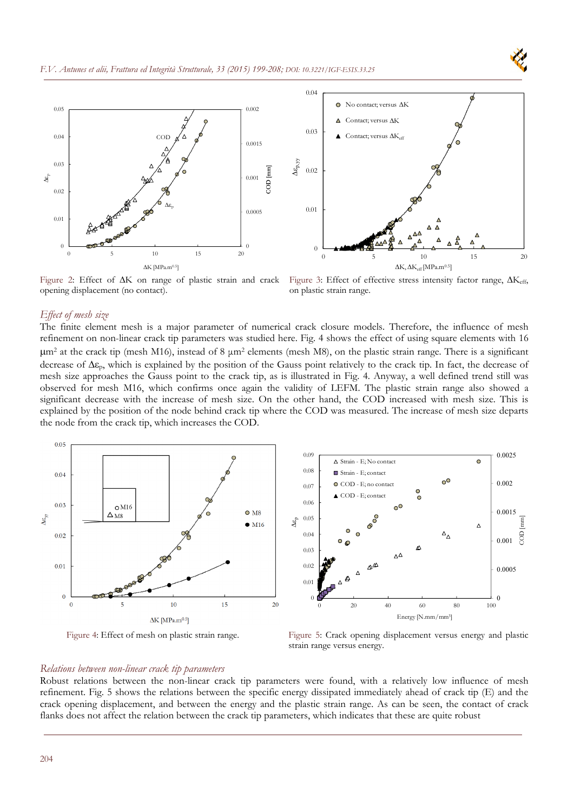



Figure 2: Effect of  $\Delta K$  on range of plastic strain and crack opening displacement (no contact).

Figure 3: Effect of effective stress intensity factor range,  $\Delta K_{eff}$ , on plastic strain range.

#### *Effect of mesh size*

The finite element mesh is a major parameter of numerical crack closure models. Therefore, the influence of mesh refinement on non-linear crack tip parameters was studied here. Fig. 4 shows the effect of using square elements with 16  $\mu$ m<sup>2</sup> at the crack tip (mesh M16), instead of 8  $\mu$ m<sup>2</sup> elements (mesh M8), on the plastic strain range. There is a significant decrease of  $\Delta \varepsilon_p$ , which is explained by the position of the Gauss point relatively to the crack tip. In fact, the decrease of mesh size approaches the Gauss point to the crack tip, as is illustrated in Fig. 4. Anyway, a well defined trend still was observed for mesh M16, which confirms once again the validity of LEFM. The plastic strain range also showed a significant decrease with the increase of mesh size. On the other hand, the COD increased with mesh size. This is explained by the position of the node behind crack tip where the COD was measured. The increase of mesh size departs the node from the crack tip, which increases the COD.



Figure 4: Effect of mesh on plastic strain range. Figure 5: Crack opening displacement versus energy and plastic strain range versus energy.

#### *Relations between non-linear crack tip parameters*

Robust relations between the non-linear crack tip parameters were found, with a relatively low influence of mesh refinement. Fig. 5 shows the relations between the specific energy dissipated immediately ahead of crack tip (E) and the crack opening displacement, and between the energy and the plastic strain range. As can be seen, the contact of crack flanks does not affect the relation between the crack tip parameters, which indicates that these are quite robust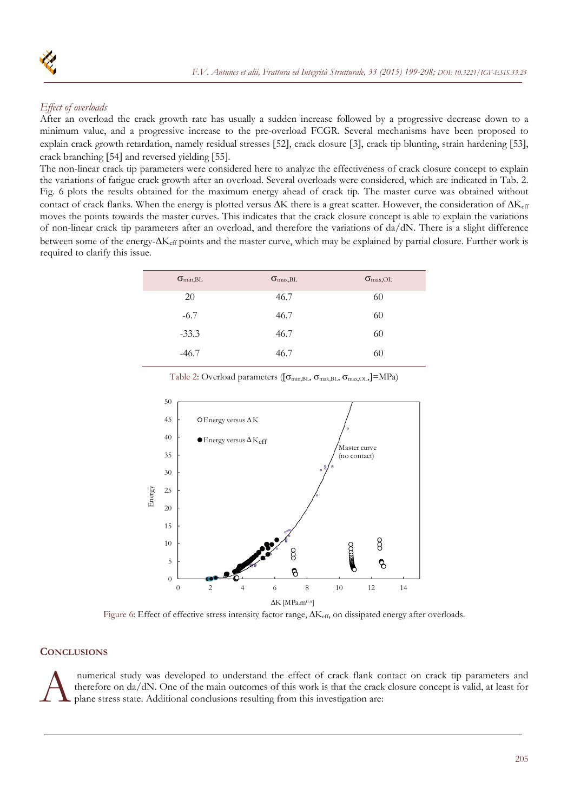

# *Effect of overloads*

After an overload the crack growth rate has usually a sudden increase followed by a progressive decrease down to a minimum value, and a progressive increase to the pre-overload FCGR. Several mechanisms have been proposed to explain crack growth retardation, namely residual stresses [52], crack closure [3], crack tip blunting, strain hardening [53], crack branching [54] and reversed vielding [55].

The non-linear crack tip parameters were considered here to analyze the effectiveness of crack closure concept to explain the variations of fatigue crack growth after an overload. Several overloads were considered, which are indicated in Tab. 2. Fig. 6 plots the results obtained for the maximum energy ahead of crack tip. The master curve was obtained without contact of crack flanks. When the energy is plotted versus  $\Delta K$  there is a great scatter. However, the consideration of  $\Delta K_{\text{eff}}$ moves the points towards the master curves. This indicates that the crack closure concept is able to explain the variations of non-linear crack tip parameters after an overload, and therefore the variations of da/dN. There is a slight difference between some of the energy- $\Delta K_{eff}$  points and the master curve, which may be explained by partial closure. Further work is required to clarify this issue.

| $\sigma_{\text{min,BL}}$ | $\sigma_{\text{max,BL}}$ | $\sigma_{\text{max,OL}}$ |
|--------------------------|--------------------------|--------------------------|
| 20                       | 46.7                     | 60                       |
| $-6.7$                   | 46.7                     | 60                       |
| $-33.3$                  | 46.7                     | 60                       |
| $-46.7$                  | 46.7                     | 60                       |



Table 2: Overload parameters ( $[\sigma_{min,BL}, \sigma_{max,BL}, \sigma_{max,OL}]=MPa$ )

Figure 6: Effect of effective stress intensity factor range,  $\Delta K_{\text{eff}}$ , on dissipated energy after overloads.

## **CONCLUSIONS**

numerical study was developed to understand the effect of crack flank contact on crack tip parameters and therefore on da/dN. One of the main outcomes of this work is that the crack closure concept is valid, at least for p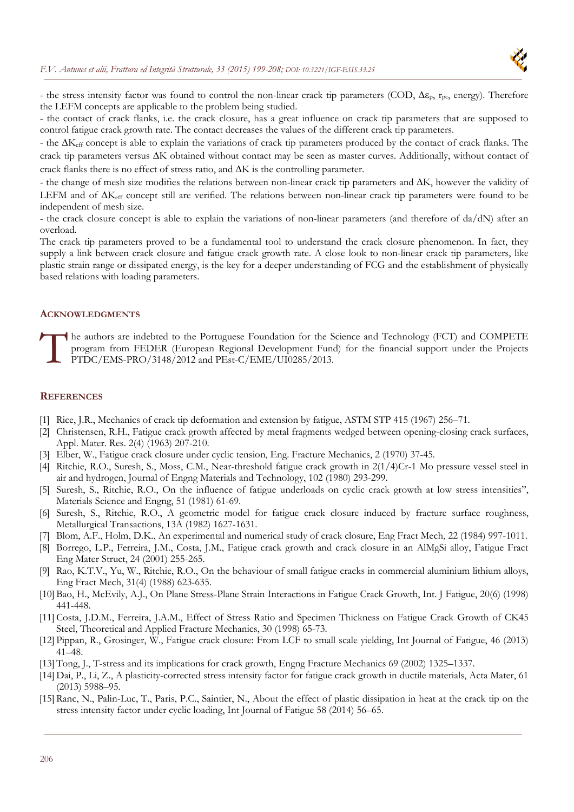

- the stress intensity factor was found to control the non-linear crack tip parameters (COD,  $\Delta \epsilon_p$ ,  $r_{pc}$ , energy). Therefore the LEFM concepts are applicable to the problem being studied.

- the contact of crack flanks, i.e. the crack closure, has a great influence on crack tip parameters that are supposed to control fatigue crack growth rate. The contact decreases the values of the different crack tip parameters.

- the  $\Delta K_{\text{eff}}$  concept is able to explain the variations of crack tip parameters produced by the contact of crack flanks. The crack tip parameters versus  $\Delta K$  obtained without contact may be seen as master curves. Additionally, without contact of crack flanks there is no effect of stress ratio, and  $\Delta K$  is the controlling parameter.

- the change of mesh size modifies the relations between non-linear crack tip parameters and  $\Delta K$ , however the validity of LEFM and of  $\Delta K_{\text{eff}}$  concept still are verified. The relations between non-linear crack tip parameters were found to be independent of mesh size.

- the crack closure concept is able to explain the variations of non-linear parameters (and therefore of da/dN) after an overload.

The crack tip parameters proved to be a fundamental tool to understand the crack closure phenomenon. In fact, they supply a link between crack closure and fatigue crack growth rate. A close look to non-linear crack tip parameters, like plastic strain range or dissipated energy, is the key for a deeper understanding of FCG and the establishment of physically based relations with loading parameters.

#### **ACKNOWLEDGMENTS**

he authors are indebted to the Portuguese Foundation for the Science and Technology (FCT) and COMPETE program from FEDER (European Regional Development Fund) for the financial support under the Projects PTDC/EMS-PRO/3148/2012 and PEst-C/EME/UI0285/2013.  $\prod_{p_1}^{he}$ 

#### **REFERENCES**

- [1] Rice, J.R., Mechanics of crack tip deformation and extension by fatigue, ASTM STP 415 (1967) 256–71.
- [2] Christensen, R.H., Fatigue crack growth affected by metal fragments wedged between opening-closing crack surfaces, Appl. Mater. Res. 2(4) (1963) 207-210.
- [3] Elber, W., Fatigue crack closure under cyclic tension, Eng. Fracture Mechanics, 2 (1970) 37-45.
- [4] Ritchie, R.O., Suresh, S., Moss, C.M., Near-threshold fatigue crack growth in 2(1/4)Cr-1 Mo pressure vessel steel in air and hydrogen, Journal of Engng Materials and Technology, 102 (1980) 293-299.
- [5] Suresh, S., Ritchie, R.O., On the influence of fatigue underloads on cyclic crack growth at low stress intensities", Materials Science and Engng, 51 (1981) 61-69.
- [6] Suresh, S., Ritchie, R.O., A geometric model for fatigue crack closure induced by fracture surface roughness, Metallurgical Transactions, 13A (1982) 1627-1631.
- [7] Blom, A.F., Holm, D.K., An experimental and numerical study of crack closure, Eng Fract Mech, 22 (1984) 997-1011.
- [8] Borrego, L.P., Ferreira, J.M., Costa, J.M., Fatigue crack growth and crack closure in an AlMgSi alloy, Fatigue Fract Eng Mater Struct, 24 (2001) 255-265.
- [9] Rao, K.T.V., Yu, W., Ritchie, R.O., On the behaviour of small fatigue cracks in commercial aluminium lithium alloys, Eng Fract Mech, 31(4) (1988) 623-635.
- [10] Bao, H., McEvily, A.J., On Plane Stress-Plane Strain Interactions in Fatigue Crack Growth, Int. J Fatigue, 20(6) (1998) 441-448.
- [11] Costa, J.D.M., Ferreira, J.A.M., Effect of Stress Ratio and Specimen Thickness on Fatigue Crack Growth of CK45 Steel, Theoretical and Applied Fracture Mechanics, 30 (1998) 65-73.
- [12] Pippan, R., Grosinger, W., Fatigue crack closure: From LCF to small scale yielding, Int Journal of Fatigue, 46 (2013) 41–48.
- [13] Tong, J., T-stress and its implications for crack growth, Engng Fracture Mechanics 69 (2002) 1325–1337.
- [14] Dai, P., Li, Z., A plasticity-corrected stress intensity factor for fatigue crack growth in ductile materials, Acta Mater, 61 (2013) 5988–95.
- [15] Ranc, N., Palin-Luc, T., Paris, P.C., Saintier, N., About the effect of plastic dissipation in heat at the crack tip on the stress intensity factor under cyclic loading, Int Journal of Fatigue 58 (2014) 56–65.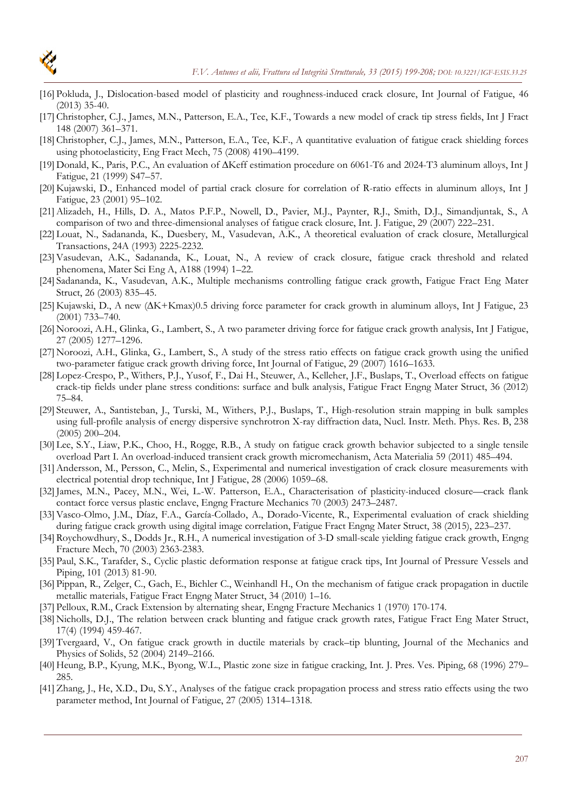

- [16] Pokluda, J., Dislocation-based model of plasticity and roughness-induced crack closure, Int Journal of Fatigue, 46 (2013) 35-40.
- [17] Christopher, C.J., James, M.N., Patterson, E.A., Tee, K.F., Towards a new model of crack tip stress fields, Int J Fract 148 (2007) 361–371.
- [18] Christopher, C.J., James, M.N., Patterson, E.A., Tee, K.F., A quantitative evaluation of fatigue crack shielding forces using photoelasticity, Eng Fract Mech, 75 (2008) 4190–4199.
- [19] Donald, K., Paris, P.C., An evaluation of Keff estimation procedure on 6061-T6 and 2024-T3 aluminum alloys, Int J Fatigue, 21 (1999) S47–57.
- [20] Kujawski, D., Enhanced model of partial crack closure for correlation of R-ratio effects in aluminum alloys, Int J Fatigue, 23 (2001) 95–102.
- [21]Alizadeh, H., Hills, D. A., Matos P.F.P., Nowell, D., Pavier, M.J., Paynter, R.J., Smith, D.J., Simandjuntak, S., A comparison of two and three-dimensional analyses of fatigue crack closure, Int. J. Fatigue, 29 (2007) 222–231.
- [22] Louat, N., Sadananda, K., Duesbery, M., Vasudevan, A.K., A theoretical evaluation of crack closure, Metallurgical Transactions, 24A (1993) 2225-2232.
- [23]Vasudevan, A.K., Sadananda, K., Louat, N., A review of crack closure, fatigue crack threshold and related phenomena, Mater Sci Eng A, A188 (1994) 1–22.
- [24] Sadananda, K., Vasudevan, A.K., Multiple mechanisms controlling fatigue crack growth, Fatigue Fract Eng Mater Struct, 26 (2003) 835–45.
- [25] Kujawski, D., A new ( $\Delta K + K$ max)0.5 driving force parameter for crack growth in aluminum alloys, Int J Fatigue, 23 (2001) 733–740.
- [26] Noroozi, A.H., Glinka, G., Lambert, S., A two parameter driving force for fatigue crack growth analysis, Int J Fatigue, 27 (2005) 1277–1296.
- [27] Noroozi, A.H., Glinka, G., Lambert, S., A study of the stress ratio effects on fatigue crack growth using the unified two-parameter fatigue crack growth driving force, Int Journal of Fatigue, 29 (2007) 1616–1633.
- [28] Lopez-Crespo, P., Withers, P.J., Yusof, F., Dai H., Steuwer, A., Kelleher, J.F., Buslaps, T., Overload effects on fatigue crack-tip fields under plane stress conditions: surface and bulk analysis, Fatigue Fract Engng Mater Struct, 36 (2012) 75–84.
- [29] Steuwer, A., Santisteban, J., Turski, M., Withers, P.J., Buslaps, T., High-resolution strain mapping in bulk samples using full-profile analysis of energy dispersive synchrotron X-ray diffraction data, Nucl. Instr. Meth. Phys. Res. B, 238 (2005) 200–204.
- [30] Lee, S.Y., Liaw, P.K., Choo, H., Rogge, R.B., A study on fatigue crack growth behavior subjected to a single tensile overload Part I. An overload-induced transient crack growth micromechanism, Acta Materialia 59 (2011) 485–494.
- [31]Andersson, M., Persson, C., Melin, S., Experimental and numerical investigation of crack closure measurements with electrical potential drop technique, Int J Fatigue, 28 (2006) 1059–68.
- [32] James, M.N., Pacey, M.N., Wei, L.-W. Patterson, E.A., Characterisation of plasticity-induced closure—crack flank contact force versus plastic enclave, Engng Fracture Mechanics 70 (2003) 2473–2487.
- [33]Vasco-Olmo, J.M., Díaz, F.A., García-Collado, A., Dorado-Vicente, R., Experimental evaluation of crack shielding during fatigue crack growth using digital image correlation, Fatigue Fract Engng Mater Struct, 38 (2015), 223–237.
- [34] Roychowdhury, S., Dodds Jr., R.H., A numerical investigation of 3-D small-scale yielding fatigue crack growth, Engng Fracture Mech, 70 (2003) 2363-2383.
- [35] Paul, S.K., Tarafder, S., Cyclic plastic deformation response at fatigue crack tips, Int Journal of Pressure Vessels and Piping, 101 (2013) 81-90.
- [36] Pippan, R., Zelger, C., Gach, E., Bichler C., Weinhandl H., On the mechanism of fatigue crack propagation in ductile metallic materials, Fatigue Fract Engng Mater Struct, 34 (2010) 1–16.
- [37] Pelloux, R.M., Crack Extension by alternating shear, Engng Fracture Mechanics 1 (1970) 170-174.
- [38] Nicholls, D.J., The relation between crack blunting and fatigue crack growth rates, Fatigue Fract Eng Mater Struct, 17(4) (1994) 459-467.
- [39] Tvergaard, V., On fatigue crack growth in ductile materials by crack–tip blunting, Journal of the Mechanics and Physics of Solids, 52 (2004) 2149–2166.
- [40] Heung, B.P., Kyung, M.K., Byong, W.L., Plastic zone size in fatigue cracking, Int. J. Pres. Ves. Piping, 68 (1996) 279– 285.
- [41]Zhang, J., He, X.D., Du, S.Y., Analyses of the fatigue crack propagation process and stress ratio effects using the two parameter method, Int Journal of Fatigue, 27 (2005) 1314–1318.